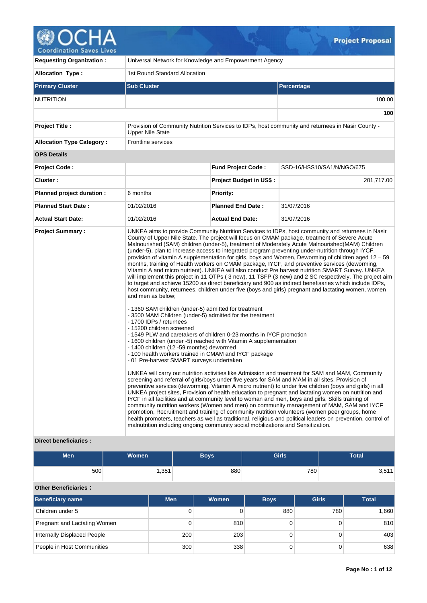

| <b>Requesting Organization:</b>                         | Universal Network for Knowledge and Empowerment Agency                                                                                                                                                                                                                                                                                                                                                                                                                                                                                                                         |                                |                                                                                                                                                                                                                                                                                                                                                                                                                                                                                                                                                                                                                                                                                                                                                                                                                                                                                                                                                                                                                                                                                                                                                                                                                                                                                                                                                                                                                                                                                                                                                                                                                                                                                                                                                                                                                                                                                                    |  |  |  |  |
|---------------------------------------------------------|--------------------------------------------------------------------------------------------------------------------------------------------------------------------------------------------------------------------------------------------------------------------------------------------------------------------------------------------------------------------------------------------------------------------------------------------------------------------------------------------------------------------------------------------------------------------------------|--------------------------------|----------------------------------------------------------------------------------------------------------------------------------------------------------------------------------------------------------------------------------------------------------------------------------------------------------------------------------------------------------------------------------------------------------------------------------------------------------------------------------------------------------------------------------------------------------------------------------------------------------------------------------------------------------------------------------------------------------------------------------------------------------------------------------------------------------------------------------------------------------------------------------------------------------------------------------------------------------------------------------------------------------------------------------------------------------------------------------------------------------------------------------------------------------------------------------------------------------------------------------------------------------------------------------------------------------------------------------------------------------------------------------------------------------------------------------------------------------------------------------------------------------------------------------------------------------------------------------------------------------------------------------------------------------------------------------------------------------------------------------------------------------------------------------------------------------------------------------------------------------------------------------------------------|--|--|--|--|
| <b>Allocation Type:</b>                                 | 1st Round Standard Allocation                                                                                                                                                                                                                                                                                                                                                                                                                                                                                                                                                  |                                |                                                                                                                                                                                                                                                                                                                                                                                                                                                                                                                                                                                                                                                                                                                                                                                                                                                                                                                                                                                                                                                                                                                                                                                                                                                                                                                                                                                                                                                                                                                                                                                                                                                                                                                                                                                                                                                                                                    |  |  |  |  |
| <b>Primary Cluster</b>                                  | <b>Sub Cluster</b>                                                                                                                                                                                                                                                                                                                                                                                                                                                                                                                                                             |                                | Percentage                                                                                                                                                                                                                                                                                                                                                                                                                                                                                                                                                                                                                                                                                                                                                                                                                                                                                                                                                                                                                                                                                                                                                                                                                                                                                                                                                                                                                                                                                                                                                                                                                                                                                                                                                                                                                                                                                         |  |  |  |  |
| <b>NUTRITION</b>                                        |                                                                                                                                                                                                                                                                                                                                                                                                                                                                                                                                                                                |                                | 100.00                                                                                                                                                                                                                                                                                                                                                                                                                                                                                                                                                                                                                                                                                                                                                                                                                                                                                                                                                                                                                                                                                                                                                                                                                                                                                                                                                                                                                                                                                                                                                                                                                                                                                                                                                                                                                                                                                             |  |  |  |  |
|                                                         |                                                                                                                                                                                                                                                                                                                                                                                                                                                                                                                                                                                |                                | 100                                                                                                                                                                                                                                                                                                                                                                                                                                                                                                                                                                                                                                                                                                                                                                                                                                                                                                                                                                                                                                                                                                                                                                                                                                                                                                                                                                                                                                                                                                                                                                                                                                                                                                                                                                                                                                                                                                |  |  |  |  |
| <b>Project Title:</b>                                   | <b>Upper Nile State</b>                                                                                                                                                                                                                                                                                                                                                                                                                                                                                                                                                        |                                | Provision of Community Nutrition Services to IDPs, host community and returnees in Nasir County -                                                                                                                                                                                                                                                                                                                                                                                                                                                                                                                                                                                                                                                                                                                                                                                                                                                                                                                                                                                                                                                                                                                                                                                                                                                                                                                                                                                                                                                                                                                                                                                                                                                                                                                                                                                                  |  |  |  |  |
| <b>Allocation Type Category:</b>                        | Frontline services                                                                                                                                                                                                                                                                                                                                                                                                                                                                                                                                                             |                                |                                                                                                                                                                                                                                                                                                                                                                                                                                                                                                                                                                                                                                                                                                                                                                                                                                                                                                                                                                                                                                                                                                                                                                                                                                                                                                                                                                                                                                                                                                                                                                                                                                                                                                                                                                                                                                                                                                    |  |  |  |  |
| <b>OPS Details</b>                                      |                                                                                                                                                                                                                                                                                                                                                                                                                                                                                                                                                                                |                                |                                                                                                                                                                                                                                                                                                                                                                                                                                                                                                                                                                                                                                                                                                                                                                                                                                                                                                                                                                                                                                                                                                                                                                                                                                                                                                                                                                                                                                                                                                                                                                                                                                                                                                                                                                                                                                                                                                    |  |  |  |  |
| Project Code:                                           |                                                                                                                                                                                                                                                                                                                                                                                                                                                                                                                                                                                | <b>Fund Project Code:</b>      | SSD-16/HSS10/SA1/N/NGO/675                                                                                                                                                                                                                                                                                                                                                                                                                                                                                                                                                                                                                                                                                                                                                                                                                                                                                                                                                                                                                                                                                                                                                                                                                                                                                                                                                                                                                                                                                                                                                                                                                                                                                                                                                                                                                                                                         |  |  |  |  |
| Cluster:                                                |                                                                                                                                                                                                                                                                                                                                                                                                                                                                                                                                                                                | <b>Project Budget in US\$:</b> | 201,717.00                                                                                                                                                                                                                                                                                                                                                                                                                                                                                                                                                                                                                                                                                                                                                                                                                                                                                                                                                                                                                                                                                                                                                                                                                                                                                                                                                                                                                                                                                                                                                                                                                                                                                                                                                                                                                                                                                         |  |  |  |  |
| Planned project duration :                              | 6 months                                                                                                                                                                                                                                                                                                                                                                                                                                                                                                                                                                       | <b>Priority:</b>               |                                                                                                                                                                                                                                                                                                                                                                                                                                                                                                                                                                                                                                                                                                                                                                                                                                                                                                                                                                                                                                                                                                                                                                                                                                                                                                                                                                                                                                                                                                                                                                                                                                                                                                                                                                                                                                                                                                    |  |  |  |  |
| <b>Planned Start Date:</b>                              | 01/02/2016                                                                                                                                                                                                                                                                                                                                                                                                                                                                                                                                                                     | <b>Planned End Date:</b>       | 31/07/2016                                                                                                                                                                                                                                                                                                                                                                                                                                                                                                                                                                                                                                                                                                                                                                                                                                                                                                                                                                                                                                                                                                                                                                                                                                                                                                                                                                                                                                                                                                                                                                                                                                                                                                                                                                                                                                                                                         |  |  |  |  |
| <b>Actual Start Date:</b>                               | 01/02/2016                                                                                                                                                                                                                                                                                                                                                                                                                                                                                                                                                                     | <b>Actual End Date:</b>        | 31/07/2016                                                                                                                                                                                                                                                                                                                                                                                                                                                                                                                                                                                                                                                                                                                                                                                                                                                                                                                                                                                                                                                                                                                                                                                                                                                                                                                                                                                                                                                                                                                                                                                                                                                                                                                                                                                                                                                                                         |  |  |  |  |
| <b>Project Summary:</b><br><b>Direct beneficiaries:</b> | and men as below;<br>- 1360 SAM children (under-5) admitted for treatment<br>- 3500 MAM Children (under-5) admitted for the treatment<br>- 1700 IDPs / returnees<br>- 15200 children screened<br>-1549 PLW and caretakers of children 0-23 months in IYCF promotion<br>- 1600 children (under -5) reached with Vitamin A supplementation<br>- 1400 children (12 -59 months) dewormed<br>- 100 health workers trained in CMAM and IYCF package<br>- 01 Pre-harvest SMART surveys undertaken<br>malnutrition including ongoing community social mobilizations and Sensitization. |                                | UNKEA aims to provide Community Nutrition Services to IDPs, host community and returnees in Nasir<br>County of Upper Nile State. The project will focus on CMAM package, treatment of Severe Acute<br>Malnourished (SAM) children (under-5), treatment of Moderately Acute Malnourished(MAM) Children<br>(under-5), plan to increase access to integrated program preventing under-nutrition through IYCF,<br>provision of vitamin A supplementation for girls, boys and Women, Deworming of children aged 12 - 59<br>months, training of Health workers on CMAM package, IYCF, and preventive services (deworming,<br>Vitamin A and micro nutrient). UNKEA will also conduct Pre harvest nutrition SMART Survey. UNKEA<br>will implement this project in 11 OTPs (3 new), 11 TSFP (3 new) and 2 SC respectively. The project aim<br>to target and achieve 15200 as direct beneficiary and 900 as indirect benefisaries which include IDPs,<br>host community, returnees, children under five (boys and girls) pregnant and lactating women, women<br>UNKEA will carry out nutrition activities like Admission and treatment for SAM and MAM, Community<br>screening and referral of girls/boys under five years for SAM and MAM in all sites, Provision of<br>preventive services (deworming, Vitamin A micro nutrient) to under five children (boys and girls) in all<br>UNKEA project sites, Provision of health education to pregnant and lactating women on nutrition and<br>IYCF in all facilities and at community level to woman and men, boys and girls, Skills training of<br>community nutrition workers (Women and men) on community management of MAM, SAM and IYCF<br>promotion, Recruitment and training of community nutrition volunteers (women peer groups, home<br>health promoters, teachers as well as traditional, religious and political leaders on prevention, control of |  |  |  |  |

| <b>Men</b>                   | Women |            | <b>Boys</b> | <b>Girls</b> |              | <b>Total</b>    |
|------------------------------|-------|------------|-------------|--------------|--------------|-----------------|
| 500                          |       | 1,351      | 880         |              | 780          | 3,511           |
| <b>Other Beneficiaries:</b>  |       |            |             |              |              |                 |
| <b>Beneficiary name</b>      |       | <b>Men</b> | Women       | <b>Boys</b>  | <b>Girls</b> | <b>Total</b>    |
| Children under 5             |       | 0          |             | 880          | 780          | 1,660           |
| Pregnant and Lactating Women |       | 0          | 810         | 0            |              | 810<br>0        |
| Internally Displaced People  |       | 200        | 203         | 0            |              | 403<br>$\Omega$ |
| People in Host Communities   |       | 300        | 338         |              |              | 638<br>0        |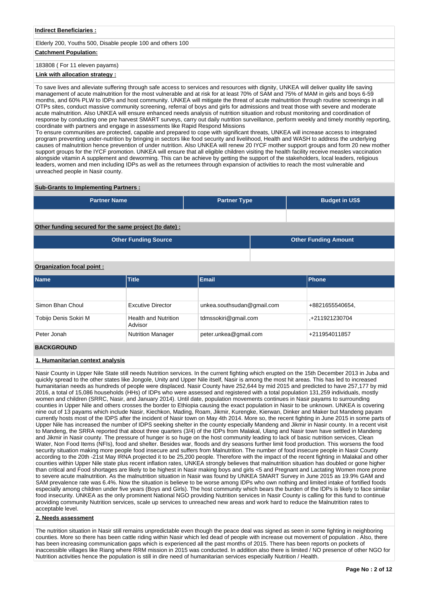### **Indirect Beneficiaries :**

# Elderly 200, Youths 500, Disable people 100 and others 100

# **Catchment Population:**

# 183808 ( For 11 eleven payams)

# **Link with allocation strategy :**

To save lives and alleviate suffering through safe access to services and resources with dignity, UNKEA will deliver quality life saving management of acute malnutrition for the most vulnerable and at risk for at least 70% of SAM and 75% of MAM in girls and boys 6-59 months, and 60% PLW to IDPs and host community. UNKEA will mitigate the threat of acute malnutrition through routine screenings in all OTPs sites, conduct massive community screening, referral of boys and girls for admissions and treat those with severe and moderate acute malnutrition. Also UNKEA will ensure enhanced needs analysis of nutrition situation and robust monitoring and coordination of response by conducting one pre harvest SMART surveys, carry out daily nutrition surveillance, perform weekly and timely monthly reporting, coordinate with partners and engage in assessments like Rapid Respond Missions

To ensure communities are protected, capable and prepared to cope with significant threats, UNKEA will increase access to integrated program preventing under-nutrition by bringing in sectors like food security and livelihood, Health and WASH to address the underlying causes of malnutrition hence prevention of under nutrition. Also UNKEA will renew 20 IYCF mother support groups and form 20 new mother support groups for the IYCF promotion. UNKEA will ensure that all eligible children visiting the health facility receive measles vaccination alongside vitamin A supplement and deworming. This can be achieve by getting the support of the stakeholders, local leaders, religious leaders, women and men including IDPs as well as the returnees through expansion of activities to reach the most vulnerable and unreached people in Nasir county.

#### **Sub-Grants to Implementing Partners :**

| <b>Partner Name</b>                                   | <b>Partner Type</b> | <b>Budget in US\$</b>       |
|-------------------------------------------------------|---------------------|-----------------------------|
|                                                       |                     |                             |
| Other funding secured for the same project (to date): |                     |                             |
| <b>Other Funding Source</b>                           |                     | <b>Other Funding Amount</b> |

### **Organization focal point :**

| <b>Name</b>           | <b>Title</b>                           | <b>Email</b>               | <b>Phone</b>    |
|-----------------------|----------------------------------------|----------------------------|-----------------|
|                       |                                        |                            |                 |
| Simon Bhan Choul      | <b>Excutive Director</b>               | unkea.southsudan@gmail.com | +8821655540654, |
| Tobijo Denis Sokiri M | <b>Health and Nutrition</b><br>Advisor | tdmssokiri@gmail.com       | +211921230704   |
| Peter Jonah           | Nutrition Manager                      | peter.unkea@gmail.com      | +211954011857   |

### **BACKGROUND**

### **1. Humanitarian context analysis**

Nasir County in Upper Nile State still needs Nutrition services. In the current fighting which erupted on the 15th December 2013 in Juba and quickly spread to the other states like Jongole, Unity and Upper Nile itself, Nasir is among the most hit areas. This has led to increased humanitarian needs as hundreds of people were displaced. Nasir County have 252,644 by mid 2015 and predicted to have 257,177 by mid 2016, a total of 15,086 households (HHs) of IDPs who were assessed and registered with a total population 131,259 individuals, mostly women and children (SRRC, Nasir, and January 2014). Until date, population movements continues in Nasir payams to surrounding counties in Upper Nile and others crosses the border to Ethiopia causing the exact population in Nasir to be unknown. UNKEA is covering nine out of 13 payams which include Nasir, Kiechkon, Mading, Roam, Jikmir, Kurengke, Kierwan, Dinker and Maker but Mandeng payam currently hosts most of the IDPS after the incident of Nasir town on May 4th 2014. More so, the recent fighting in June 2015 in some parts of Upper Nile has increased the number of IDPS seeking shelter in the county especially Mandeng and Jikmir in Nasir county. In a recent visit to Mandeng, the SRRA reported that about three quarters (3/4) of the IDPs from Malakal, Ulang and Nasir town have settled in Mandeng and Jikmir in Nasir county. The pressure of hunger is so huge on the host community leading to lack of basic nutrition services, Clean Water, Non Food Items (NFIs), food and shelter. Besides war, floods and dry seasons further limit food production. This worsens the food security situation making more people food insecure and suffers from Malnutrition. The number of food insecure people in Nasir County according to the 20th -21st May IRNA projected it to be 25,200 people. Therefore with the impact of the recent fighting in Malakal and other counties within Upper Nile state plus recent inflation rates, UNKEA strongly believes that malnutrition situation has doubled or gone higher than critical and Food shortages are likely to be highest in Nasir making boys and girls <5 and Pregnant and Lactating Women more prone to severe acute malnutrition. As the malnutrition situation in Nasir was found by UNKEA SMART Survey in June 2015 as 19.9% GAM and SAM prevalence rate was 6.4%. Now the situation is believe to be worse among IDPs who own nothing and limited intake of fortified foods especially among children under five years (Boys and Girls). The host community which bears the burden of the IDPs is likely to face similar food insecurity. UNKEA as the only prominent National NGO providing Nutrition services in Nasir County is calling for this fund to continue providing community Nutrition services, scale up services to unreached new areas and work hard to reduce the Malnutrition rates to acceptable level.

#### **2. Needs assessment**

The nutrition situation in Nasir still remains unpredictable even though the peace deal was signed as seen in some fighting in neighboring counties. More so there has been cattle riding within Nasir which led dead of people with increase out movement of population . Also, there has been increasing communication gaps which is experienced all the past months of 2015. There has been reports on pockets of inaccessible villages like Riang where RRM mission in 2015 was conducted. In addition also there is limited / NO presence of other NGO for Nutrition activities hence the population is still in dire need of humanitarian services especially Nutrition / Health.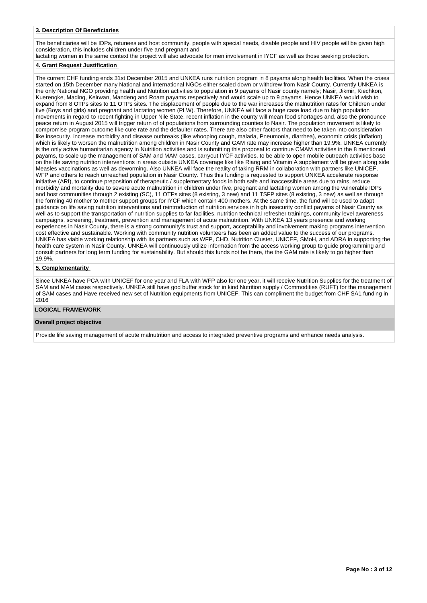### **3. Description Of Beneficiaries**

The beneficiaries will be IDPs, retunees and host community, people with special needs, disable people and HIV people will be given high consideration, this includes children under five and pregnant and

lactating women in the same context the project will also advocate for men involvement in IYCF as well as those seeking protection.

# **4. Grant Request Justification**

The current CHF funding ends 31st December 2015 and UNKEA runs nutrition program in 8 payams along health facilities. When the crises started on 15th December many National and international NGOs either scaled down or withdrew from Nasir County. Currently UNKEA is the only National NGO providing health and Nutrition activities to population in 9 payams of Nasir county namely; Nasir, Jikmir, Kiechkon, Kuerengke, Mading, Keirwan, Mandeng and Roam payams respectively and would scale up to 9 payams. Hence UNKEA would wish to expand from 8 OTPs sites to 11 OTPs sites. The displacement of people due to the war increases the malnutrition rates for Children under five (Boys and girls) and pregnant and lactating women (PLW). Therefore, UNKEA will face a huge case load due to high population movements in regard to recent fighting in Upper Nile State, recent inflation in the county will mean food shortages and, also the pronounce peace return in August 2015 will trigger return of of populations from surrounding counties to Nasir. The population movement is likely to compromise program outcome like cure rate and the defaulter rates. There are also other factors that need to be taken into consideration like insecurity, increase morbidity and disease outbreaks (like whooping cough, malaria, Pneumonia, diarrhea), economic crisis (inflation) which is likely to worsen the malnutrition among children in Nasir County and GAM rate may increase higher than 19.9%. UNKEA currently is the only active humanitarian agency in Nutrition activities and is submitting this proposal to continue CMAM activities in the 8 mentioned payams, to scale up the management of SAM and MAM cases, carryout IYCF activities, to be able to open mobile outreach activities base on the life saving nutrition interventions in areas outside UNKEA coverage like like Riang and Vitamin A supplement will be given along side Measles vaccinations as well as deworming. Also UNKEA will face the reality of taking RRM in collaboration with partners like UNICEF WFP and others to reach unreached population in Nasir County. Thus this funding is requested to support UNKEA accelerate response initiative (ARI), to continue preposition of therapeutic / supplementary foods in both safe and inaccessible areas due to rains, reduce morbidity and mortality due to severe acute malnutrition in children under five, pregnant and lactating women among the vulnerable IDPs and host communities through 2 existing (SC), 11 OTPs sites (8 existing, 3 new) and 11 TSFP sites (8 existing, 3 new) as well as through the forming 40 mother to mother support groups for IYCF which contain 400 mothers. At the same time, the fund will be used to adapt guidance on life saving nutrition interventions and reintroduction of nutrition services in high insecurity conflict payams of Nasir County as well as to support the transportation of nutrition supplies to far facilities, nutrition technical refresher trainings, community level awareness campaigns, screening, treatment, prevention and management of acute malnutrition. With UNKEA 13 years presence and working experiences in Nasir County, there is a strong community's trust and support, acceptability and involvement making programs intervention cost effective and sustainable. Working with community nutrition volunteers has been an added value to the success of our programs. UNKEA has viable working relationship with its partners such as WFP, CHD, Nutrition Cluster, UNICEF, SMoH, and ADRA in supporting the health care system in Nasir County. UNKEA will continuously utilize information from the access working group to guide programming and consult partners for long term funding for sustainability. But should this funds not be there, the the GAM rate is likely to go higher than 19.9%.

### **5. Complementarity**

Since UNKEA have PCA with UNICEF for one year and FLA with WFP also for one year, it will receive Nutrition Supplies for the treatment of SAM and MAM cases respectively. UNKEA still have god buffer stock for in kind Nutrition supply / Commodities (RUFT) for the management of SAM cases and Have received new set of Nutrition equipments from UNICEF. This can compliment the budget from CHF SA1 funding in 2016

#### **LOGICAL FRAMEWORK**

#### **Overall project objective**

Provide life saving management of acute malnutrition and access to integrated preventive programs and enhance needs analysis.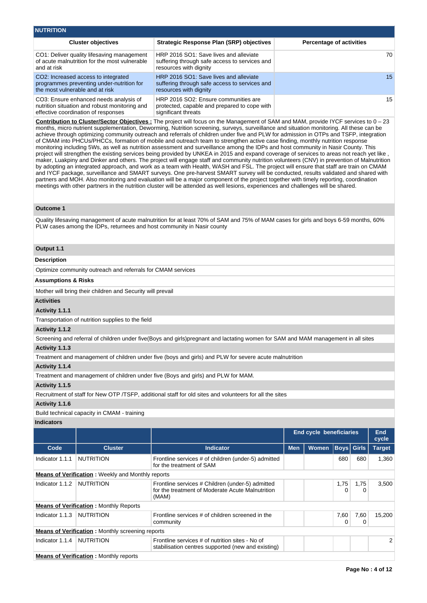| <b>NUTRITION</b>                                                                                                               |                                                                                                                   |                                 |
|--------------------------------------------------------------------------------------------------------------------------------|-------------------------------------------------------------------------------------------------------------------|---------------------------------|
| <b>Cluster objectives</b>                                                                                                      | <b>Strategic Response Plan (SRP) objectives</b>                                                                   | <b>Percentage of activities</b> |
| CO1: Deliver quality lifesaving management<br>of acute malnutrition for the most vulnerable<br>and at risk                     | HRP 2016 SO1: Save lives and alleviate<br>suffering through safe access to services and<br>resources with dignity | 70                              |
| CO2: Increased access to integrated<br>programmes preventing under-nutrition for<br>the most vulnerable and at risk            | HRP 2016 SO1: Save lives and alleviate<br>suffering through safe access to services and<br>resources with dignity | 15 <sup>1</sup>                 |
| CO3: Ensure enhanced needs analysis of<br>nutrition situation and robust monitoring and<br>effective coordination of responses | HRP 2016 SO2: Ensure communities are<br>protected, capable and prepared to cope with<br>significant threats       | 15                              |

**Contribution to Cluster/Sector Objectives :** The project will focus on the Management of SAM and MAM, provide IYCF services to 0 – 23 months, micro nutrient supplementation, Deworming, Nutrition screening, surveys, surveillance and situation monitoring. All these can be achieve through optimizing community outreach and referrals of children under five and PLW for admission in OTPs and TSFP, integration of CMAM into PHCUs/PHCCs, formation of mobile and outreach team to strengthen active case finding, monthly nutrition response monitoring including 5Ws, as well as nutrition assessment and surveillance among the IDPs and host community in Nasir County. This project will strengthen the existing services being provided by UNKEA in 2015 and expand coverage of services to areas not reach yet like, maker, Luakpiny and Dinker and others. The project will engage staff and community nutrition volunteers (CNV) in prevention of Malnutrition by adopting an integrated approach, and work as a team with Health, WASH and FSL. The project will ensure that staff are train on CMAM and IYCF package, surveillance and SMART surveys. One pre-harvest SMART survey will be conducted, results validated and shared with partners and MOH. Also monitoring and evaluation will be a major component of the project together with timely reporting, coordination meetings with other partners in the nutrition cluster will be attended as well lesions, experiences and challenges will be shared.

#### **Outcome 1**

Quality lifesaving management of acute malnutrition for at least 70% of SAM and 75% of MAM cases for girls and boys 6-59 months, 60% PLW cases among the IDPs, returnees and host community in Nasir county

### **Output 1.1**

#### **Description**

Optimize community outreach and referrals for CMAM services

#### **Assumptions & Risks**

Mother will bring their children and Security will prevail

### **Activities**

#### **Activity 1.1.1**

Transportation of nutrition supplies to the field

#### **Activity 1.1.2**

Screening and referral of children under five(Boys and girls)pregnant and lactating women for SAM and MAM management in all sites

### **Activity 1.1.3**

Treatment and management of children under five (boys and girls) and PLW for severe acute malnutrition

### **Activity 1.1.4**

Treatment and management of children under five (Boys and girls) and PLW for MAM.

### **Activity 1.1.5**

Recruitment of staff for New OTP /TSFP, additional staff for old sites and volunteers for all the sites

### **Activity 1.1.6**

Build technical capacity in CMAM - training

# **Indicators**

|                 |                                                          |                                                                                                               | <b>End cycle beneficiaries</b> |              |           | <b>End</b><br>cycle |               |
|-----------------|----------------------------------------------------------|---------------------------------------------------------------------------------------------------------------|--------------------------------|--------------|-----------|---------------------|---------------|
| Code            | <b>Cluster</b>                                           | <b>Indicator</b>                                                                                              | <b>Men</b>                     | <b>Women</b> |           | <b>Boys Girls</b>   | <b>Target</b> |
| Indicator 1.1.1 | <b>NUTRITION</b>                                         | Frontline services # of children (under-5) admitted<br>for the treatment of SAM                               |                                |              | 680       | 680                 | 1.360         |
|                 | <b>Means of Verification:</b> Weekly and Monthly reports |                                                                                                               |                                |              |           |                     |               |
| Indicator 1.1.2 | <b>NUTRITION</b>                                         | Frontline services # Children (under-5) admitted<br>for the treatment of Moderate Acute Malnutrition<br>(MAM) |                                |              | 1,75<br>0 | 1,75<br>0           | 3,500         |
|                 | <b>Means of Verification:</b> Monthly Reports            |                                                                                                               |                                |              |           |                     |               |
| Indicator 1.1.3 | NUTRITION                                                | Frontline services # of children screened in the<br>community                                                 |                                |              | 7,60<br>0 | 7,60<br>0           | 15,200        |
|                 | <b>Means of Verification:</b> Monthly screening reports  |                                                                                                               |                                |              |           |                     |               |
| Indicator 1.1.4 | <b>NUTRITION</b>                                         | Frontline services # of nutrition sites - No of<br>stabilisation centres supported (new and existing)         |                                |              |           |                     | 2             |
|                 | <b>Means of Verification:</b> Monthly reports            |                                                                                                               |                                |              |           |                     |               |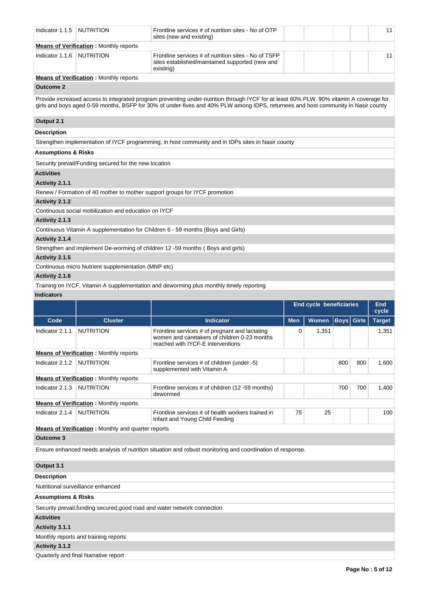| Indicator 1.1.5                | <b>NUTRITION</b>                                           | Frontline services # of nutrition sites - No of OTP<br>sites (new and existing)                                                                                                                                                                                              |            |                         |             |              | 11             |
|--------------------------------|------------------------------------------------------------|------------------------------------------------------------------------------------------------------------------------------------------------------------------------------------------------------------------------------------------------------------------------------|------------|-------------------------|-------------|--------------|----------------|
|                                | <b>Means of Verification: Monthly reports</b>              |                                                                                                                                                                                                                                                                              |            |                         |             |              |                |
| Indicator 1.1.6                | <b>NUTRITION</b>                                           | Frontline services # of nutrition sites - No of TSFP<br>sites established/maintained supported (new and<br>existing)                                                                                                                                                         |            |                         |             |              | 11             |
|                                | <b>Means of Verification:</b> Monthly reports              |                                                                                                                                                                                                                                                                              |            |                         |             |              |                |
| <b>Outcome 2</b>               |                                                            |                                                                                                                                                                                                                                                                              |            |                         |             |              |                |
|                                |                                                            | Provide increased access to integrated program preventing under-nutrition through IYCF for at least 60% PLW, 90% vitamin A coverage for<br>girls and boys aged 0-59 months, BSFP for 30% of under-fives and 40% PLW among IDPS, returnees and host community in Nasir county |            |                         |             |              |                |
| Output 2.1                     |                                                            |                                                                                                                                                                                                                                                                              |            |                         |             |              |                |
| <b>Description</b>             |                                                            |                                                                                                                                                                                                                                                                              |            |                         |             |              |                |
|                                |                                                            | Strengthen implementation of IYCF programming, in host community and in IDPs sites in Nasir county                                                                                                                                                                           |            |                         |             |              |                |
| <b>Assumptions &amp; Risks</b> |                                                            |                                                                                                                                                                                                                                                                              |            |                         |             |              |                |
|                                | Security prevail/Funding secured for the new location      |                                                                                                                                                                                                                                                                              |            |                         |             |              |                |
| <b>Activities</b>              |                                                            |                                                                                                                                                                                                                                                                              |            |                         |             |              |                |
| Activity 2.1.1                 |                                                            |                                                                                                                                                                                                                                                                              |            |                         |             |              |                |
|                                |                                                            | Renew / Formation of 40 mother to mother support groups for IYCF promotion                                                                                                                                                                                                   |            |                         |             |              |                |
| Activity 2.1.2                 |                                                            |                                                                                                                                                                                                                                                                              |            |                         |             |              |                |
|                                | Continuous social mobilization and education on IYCF       |                                                                                                                                                                                                                                                                              |            |                         |             |              |                |
| Activity 2.1.3                 |                                                            |                                                                                                                                                                                                                                                                              |            |                         |             |              |                |
|                                |                                                            | Continuous Vitamin A supplementation for Children 6 - 59 months (Boys and Girls)                                                                                                                                                                                             |            |                         |             |              |                |
| Activity 2.1.4                 |                                                            |                                                                                                                                                                                                                                                                              |            |                         |             |              |                |
|                                |                                                            | Strengthen and implement De-worming of children 12 -59 months (Boys and girls)                                                                                                                                                                                               |            |                         |             |              |                |
| Activity 2.1.5                 |                                                            |                                                                                                                                                                                                                                                                              |            |                         |             |              |                |
|                                | Continuous micro Nutrient supplementation (MNP etc)        |                                                                                                                                                                                                                                                                              |            |                         |             |              |                |
| Activity 2.1.6                 |                                                            |                                                                                                                                                                                                                                                                              |            |                         |             |              |                |
|                                |                                                            | Training on IYCF, Vitamin A supplementation and deworming plus monthly timely reporting                                                                                                                                                                                      |            |                         |             |              |                |
| <b>Indicators</b>              |                                                            |                                                                                                                                                                                                                                                                              |            |                         |             |              |                |
|                                |                                                            |                                                                                                                                                                                                                                                                              |            |                         |             |              |                |
|                                |                                                            |                                                                                                                                                                                                                                                                              |            | End cycle beneficiaries |             |              | End l<br>cycle |
| Code                           | <b>Cluster</b>                                             | <b>Indicator</b>                                                                                                                                                                                                                                                             | <b>Men</b> | Women                   | <b>Boys</b> | <b>Girls</b> | <b>Target</b>  |
| Indicator 2.1.1                | <b>NUTRITION</b>                                           | Frontline services # of pregnant and lactating<br>women and caretakers of children 0-23 months<br>reached with IYCF-E interventions                                                                                                                                          | 0          | 1,351                   |             |              | 1,351          |
|                                | <b>Means of Verification:</b> Monthly reports              |                                                                                                                                                                                                                                                                              |            |                         |             |              |                |
| Indicator 2.1.2                | <b>NUTRITION</b>                                           | Frontline services # of children (under -5)<br>supplemented with Vitamin A                                                                                                                                                                                                   |            |                         | 800         | 800          | 1,600          |
|                                | <b>Means of Verification:</b> Monthly reports              |                                                                                                                                                                                                                                                                              |            |                         |             |              |                |
| Indicator 2.1.3                | <b>NUTRITION</b>                                           | Frontline services # of children (12 -59 months)<br>dewormed                                                                                                                                                                                                                 |            |                         | 700         | 700          | 1,400          |
|                                | <b>Means of Verification:</b> Monthly reports              |                                                                                                                                                                                                                                                                              |            |                         |             |              |                |
| Indicator 2.1.4                | <b>NUTRITION</b>                                           | Frontline services # of health workers trained in<br>Infant and Young Child Feeding                                                                                                                                                                                          | 75         | 25                      |             |              | 100            |
| <b>Outcome 3</b>               | <b>Means of Verification</b> : Monthly and quarter reports |                                                                                                                                                                                                                                                                              |            |                         |             |              |                |
|                                |                                                            | Ensure enhanced needs analysis of nutrition situation and robust monitoring and coordination of response.                                                                                                                                                                    |            |                         |             |              |                |
| Output 3.1                     |                                                            |                                                                                                                                                                                                                                                                              |            |                         |             |              |                |
| <b>Description</b>             |                                                            |                                                                                                                                                                                                                                                                              |            |                         |             |              |                |
|                                | Nutritional surveillance enhanced                          |                                                                                                                                                                                                                                                                              |            |                         |             |              |                |
| <b>Assumptions &amp; Risks</b> |                                                            |                                                                                                                                                                                                                                                                              |            |                         |             |              |                |
|                                |                                                            |                                                                                                                                                                                                                                                                              |            |                         |             |              |                |
| <b>Activities</b>              |                                                            | Security prevail, funding secured, good road and water network connection                                                                                                                                                                                                    |            |                         |             |              |                |
| Activity 3.1.1                 |                                                            |                                                                                                                                                                                                                                                                              |            |                         |             |              |                |
|                                | Monthly reports and training reports                       |                                                                                                                                                                                                                                                                              |            |                         |             |              |                |
| Activity 3.1.2                 |                                                            |                                                                                                                                                                                                                                                                              |            |                         |             |              |                |
|                                | Quarterly and final Narrative report                       |                                                                                                                                                                                                                                                                              |            |                         |             |              |                |

11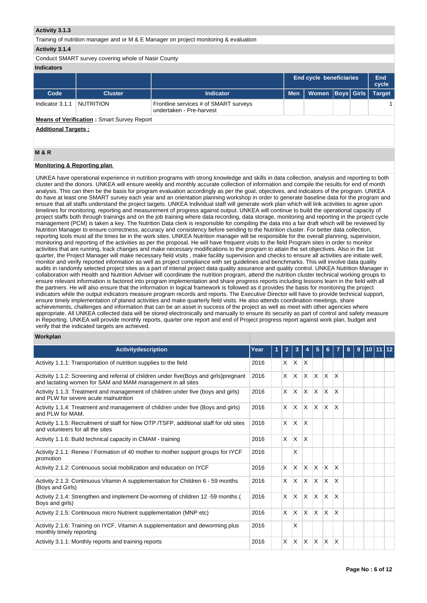### **Activity 3.1.3**

Training of nutrition manager and or M & E Manager on project monitoring & evaluation

### **Activity 3.1.4**

Conduct SMART survey covering whole of Nasir County

### **Indicators**

| .               |                                                   |                                                                   |                                |                      |  |               |
|-----------------|---------------------------------------------------|-------------------------------------------------------------------|--------------------------------|----------------------|--|---------------|
|                 |                                                   |                                                                   | <b>End cycle beneficiaries</b> | End<br>cycle         |  |               |
| Code            | <b>Cluster</b>                                    | <b>Indicator</b>                                                  | <b>Men</b>                     | Women   Boys   Girls |  | <b>Target</b> |
| Indicator 3.1.1 | NUTRITION                                         | Frontline services # of SMART surveys<br>undertaken - Pre-harvest |                                |                      |  |               |
|                 | <b>Means of Verification: Smart Survey Report</b> |                                                                   |                                |                      |  |               |

**Additional Targets :**

## **M & R**

### **Monitoring & Reporting plan**

UNKEA have operational experience in nutrition programs with strong knowledge and skills in data collection, analysis and reporting to both cluster and the donors. UNKEA will ensure weekly and monthly accurate collection of information and compile the results for end of month analysis. This can then be the basis for program evaluation accordingly as per the goal, objectives, and indicators of the program. UNKEA do have at least one SMART survey each year and an orientation planning workshop in order to generate baseline data for the program and ensure that all staffs understand the project targets. UNKEA Individual staff will generate work plan which will link activities to agree upon timelines for monitoring, reporting and measurement of progress against output. UNKEA will continue to build the operational capacity of project staffs both through trainings and on the job training where data recording, data storage, monitoring and reporting in the project cycle management (PCM) is taken a key. The Nutrition Data clerk is responsible for compiling the data into a fair draft which will be reviewed by Nutrition Manager to ensure correctness, accuracy and consistency before sending to the Nutrition cluster. For better data collection, reporting tools must all the times be in the work sites. UNKEA Nutrition manager will be responsible for the overall planning, supervision, monitoring and reporting of the activities as per the proposal. He will have frequent visits to the field Program sites in order to monitor activities that are running, track changes and make necessary modifications to the program to attain the set objectives. Also in the 1st quarter, the Project Manager will make necessary field visits , make facility supervision and checks to ensure all activities are initiate well, monitor and verify reported information as well as project compliance with set guidelines and benchmarks. This will involve data quality audits in randomly selected project sites as a part of intenal project data quality assurance and quality control. UNKEA Nutrition Manager in collaboration with Health and Nutrition Adviser will coordinate the nutrition program, attend the nutrition cluster technical working groups to ensure relevant information is factored into program implementation and share progress reports including lessons learn in the field with all the partners. He will also ensure that the information in logical framework is followed as it provides the basis for monitoring the project indicators while the output indicators measure program records and reports. The Executive Director will have to provide technical support, ensure timely implementation of planed activities and make quarterly field visits. He also attends coordination meetings, share achievements, challenges and information that can be an asset in success of the project as well as meet with other agencies where appropriate. All UNKEA collected data will be stored electronically and manually to ensure its security as part of control and safety measure in Reporting. UNKEA will provide monthly reports, quarter one report and end of Project progress report against work plan, budget and verify that the indicated targets are achieved.

### **Workplan**

| <b>Activitydescription</b>                                                                                                                             | Year | 1 | $\mathbf{2}$ | 3            |              | 5                       | 6                       |                 | 8 | 9 | 110111112 |  |
|--------------------------------------------------------------------------------------------------------------------------------------------------------|------|---|--------------|--------------|--------------|-------------------------|-------------------------|-----------------|---|---|-----------|--|
| Activity 1.1.1: Transportation of nutrition supplies to the field                                                                                      | 2016 |   |              | $X$ $X$      | $\mathsf{X}$ |                         |                         |                 |   |   |           |  |
| Activity 1.1.2: Screening and referral of children under five (Boys and girls) pregnant<br>and lactating women for SAM and MAM management in all sites | 2016 |   | X            | $\mathsf{X}$ | $\times$     | IX.                     | X                       | X               |   |   |           |  |
| Activity 1.1.3: Treatment and management of children under five (boys and girls)<br>and PLW for severe acute malnutrition                              | 2016 |   | X            | ΙX.          | X            | $\overline{\mathsf{x}}$ | $\overline{\mathsf{x}}$ | ΙX              |   |   |           |  |
| Activity 1.1.4: Treatment and management of children under five (Boys and girls)<br>and PLW for MAM.                                                   | 2016 |   | X            | ΙX.          | $\times$     | IX.                     | X                       | X               |   |   |           |  |
| Activity 1.1.5: Recruitment of staff for New OTP /TSFP, additional staff for old sites<br>and volunteers for all the sites                             | 2016 |   | $\mathsf{x}$ | $\mathsf{X}$ | X            |                         |                         |                 |   |   |           |  |
| Activity 1.1.6: Build technical capacity in CMAM - training                                                                                            | 2016 |   | $\times$     | <b>X</b>     | X            |                         |                         |                 |   |   |           |  |
| Activity 2.1.1: Renew / Formation of 40 mother to mother support groups for IYCF<br>promotion                                                          | 2016 |   |              | X            |              |                         |                         |                 |   |   |           |  |
| Activity 2.1.2: Continuous social mobilization and education on IYCF                                                                                   | 2016 |   | X            | $\mathsf{X}$ | $\times$     | ΙX.                     | $\mathsf{X}$            | ΙX.             |   |   |           |  |
| Activity 2.1.3: Continuous Vitamin A supplementation for Children 6 - 59 months<br>(Boys and Girls)                                                    | 2016 |   | X            | $\mathsf{X}$ | X            | $\mathsf{X}$            | X                       | X               |   |   |           |  |
| Activity 2.1.4: Strengthen and implement De-worming of children 12 -59 months (<br>Boys and girls)                                                     | 2016 |   | $\times$     | <b>X</b>     | X            | $\times$                | X                       | ΙX              |   |   |           |  |
| Activity 2.1.5: Continuous micro Nutrient supplementation (MNP etc)                                                                                    | 2016 |   | X            | X.           | $\times$     | <b>X</b>                | X                       | X               |   |   |           |  |
| Activity 2.1.6: Training on IYCF, Vitamin A supplementation and deworming plus<br>monthly timely reporting                                             | 2016 |   |              | X            |              |                         |                         |                 |   |   |           |  |
| Activity 3.1.1: Monthly reports and training reports                                                                                                   | 2016 |   | X            | <b>X</b>     | X            | X                       | ΙX                      | $\mathsf{\chi}$ |   |   |           |  |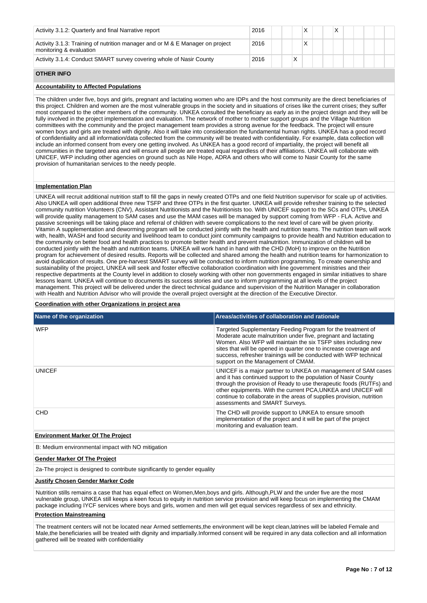| Activity 3.1.2: Quarterly and final Narrative report                                                     | 2016 |   |   |  |  |  |  |
|----------------------------------------------------------------------------------------------------------|------|---|---|--|--|--|--|
| Activity 3.1.3: Training of nutrition manager and or M & E Manager on project<br>monitoring & evaluation | 2016 |   | X |  |  |  |  |
| Activity 3.1.4: Conduct SMART survey covering whole of Nasir County                                      | 2016 | Χ |   |  |  |  |  |

### **OTHER INFO**

## **Accountability to Affected Populations**

The children under five, boys and girls, pregnant and lactating women who are IDPs and the host community are the direct beneficiaries of this project. Children and women are the most vulnerable groups in the society and in situations of crises like the current crises; they suffer most compared to the other members of the community. UNKEA consulted the beneficiary as early as in the project design and they will be fully involved in the project implementation and evaluation. The network of mother to mother support groups and the Village Nutrition committees with the community and the project management team provides a strong avenue for the feedback. The project will ensure women boys and girls are treated with dignity. Also it will take into consideration the fundamental human rights. UNKEA has a good record of confidentiality and all information/data collected from the community will be treated with confidentiality. For example, data collection will include an informed consent from every one getting involved. As UNKEA has a good record of impartiality, the project will benefit all communities in the targeted area and will ensure all people are treated equal regardless of their affiliations. UNKEA will collaborate with UNICEF, WFP including other agencies on ground such as Nile Hope, ADRA and others who will come to Nasir County for the same provision of humanitarian services to the needy people.

### **Implementation Plan**

UNKEA will recruit additional nutrition staff to fill the gaps in newly created OTPs and one field Nutrition supervisor for scale up of activities. Also UNKEA will open additional three new TSFP and three OTPs in the first quarter. UNKEA will provide refresher training to the selected community nutrition Volunteers (CNV), Assistant Nutritionists and the Nutritionists too. With UNICEF support to the SCs and OTPs, UNKEA will provide quality management to SAM cases and use the MAM cases will be managed by support coming from WFP - FLA. Active and passive screenings will be taking place and referral of children with severe complications to the next level of care will be given priority. Vitamin A supplementation and deworming program will be conducted jointly with the health and nutrition teams. The nutrition team will work with, health, WASH and food security and livelihood team to conduct joint community campaigns to provide health and Nutrition education to the community on better food and health practices to promote better health and prevent malnutrition. Immunization of children will be conducted jointly with the health and nutrition teams. UNKEA will work hand in hand with the CHD (MoH) to improve on the Nutrition program for achievement of desired results. Reports will be collected and shared among the health and nutrition teams for harmonization to avoid duplication of results. One pre-harvest SMART survey will be conducted to inform nutrition programming. To create ownership and sustainability of the project, UNKEA will seek and foster effective collaboration coordination with line government ministries and their respective departments at the County level in addition to closely working with other non governments engaged in similar initiatives to share lessons learnt. UNKEA will continue to documents its success stories and use to inform programming at all levels of the project management. This project will be delivered under the direct technical guidance and supervision of the Nutrition Manager in collaboration with Health and Nutrition Advisor who will provide the overall project oversight at the direction of the Executive Director.

### **Coordination with other Organizations in project area**

| Name of the organization        | Areas/activities of collaboration and rationale                                                                                                                                                                                                                                                                                                                                    |
|---------------------------------|------------------------------------------------------------------------------------------------------------------------------------------------------------------------------------------------------------------------------------------------------------------------------------------------------------------------------------------------------------------------------------|
| <b>WFP</b>                      | Targeted Supplementary Feeding Program for the treatment of<br>Moderate acute malnutrition under five, pregnant and lactating<br>Women. Also WFP will maintain the six TSFP sites including new<br>sites that will be opened in quarter one to increase coverage and<br>success, refresher trainings will be conducted with WFP technical<br>support on the Management of CMAM.    |
| <b>UNICEF</b>                   | UNICEF is a major partner to UNKEA on management of SAM cases<br>and it has continued support to the population of Nasir County<br>through the provision of Ready to use therapeutic foods (RUTFs) and<br>other equipments. With the current PCA, UNKEA and UNICEF will<br>continue to collaborate in the areas of supplies provision, nutrition<br>assessments and SMART Surveys. |
| <b>CHD</b>                      | The CHD will provide support to UNKEA to ensure smooth<br>implementation of the project and it will be part of the project<br>monitoring and evaluation team.                                                                                                                                                                                                                      |
| Fordermore Mader Of The Bestaat |                                                                                                                                                                                                                                                                                                                                                                                    |

#### **Environment Marker Of The Project**

B: Medium environmental impact with NO mitigation

# **Gender Marker Of The Project**

2a-The project is designed to contribute significantly to gender equality

### **Justify Chosen Gender Marker Code**

Nutrition stills remains a case that has equal effect on Women,Men,boys and girls. Although,PLW and the under five are the most vulnerable group, UNKEA still keeps a keen focus to equity in nutrition service provision and will keep focus on implementing the CMAM package including IYCF services where boys and girls, women and men will get equal services regardless of sex and ethnicity.

### **Protection Mainstreaming**

The treatment centers will not be located near Armed settlements,the environment will be kept clean,latrines will be labeled Female and Male,the beneficiaries will be treated with dignity and impartially.Informed consent will be required in any data collection and all information gathered will be treated with confidentiality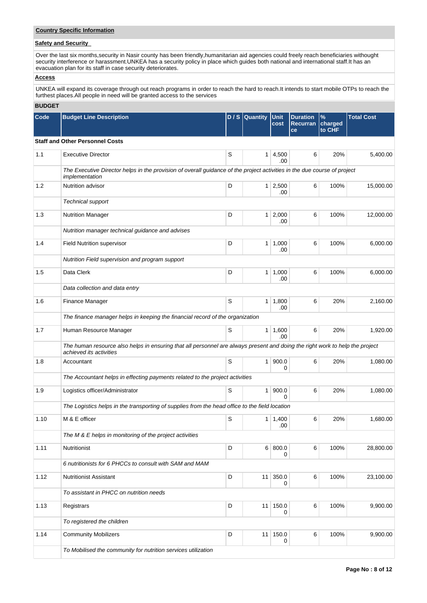# **Country Specific Information**

# **Safety and Security**

Over the last six months,security in Nasir county has been friendly,humanitarian aid agencies could freely reach beneficiaries withought security interference or harassment.UNKEA has a security policy in place which guides both national and international staff.It has an evacuation plan for its staff in case security deteriorates.

# **Access**

UNKEA will expand its coverage through out reach programs in order to reach the hard to reach.It intends to start mobile OTPs to reach the furthest places.All people in need will be granted access to the services

# **BUDGET**

| Code | <b>Budget Line Description</b>                                                                                                                          |   | D / S Quantity  | <b>Unit</b><br>cost   | <b>Duration</b><br>Recurran<br>ce | %<br>charged<br>to CHF | <b>Total Cost</b> |
|------|---------------------------------------------------------------------------------------------------------------------------------------------------------|---|-----------------|-----------------------|-----------------------------------|------------------------|-------------------|
|      | <b>Staff and Other Personnel Costs</b>                                                                                                                  |   |                 |                       |                                   |                        |                   |
| 1.1  | <b>Executive Director</b>                                                                                                                               | S | 1 <sup>1</sup>  | 4,500<br>.00          | 6                                 | 20%                    | 5,400.00          |
|      | The Executive Director helps in the provision of overall guidance of the project activities in the due course of project<br>implementation              |   |                 |                       |                                   |                        |                   |
| 1.2  | Nutrition advisor                                                                                                                                       | D |                 | $1 \mid 2,500$<br>.00 | 6                                 | 100%                   | 15,000.00         |
|      | Technical support                                                                                                                                       |   |                 |                       |                                   |                        |                   |
| 1.3  | <b>Nutrition Manager</b>                                                                                                                                | D | 1 <sup>1</sup>  | 2,000<br>.00          | 6                                 | 100%                   | 12,000.00         |
|      | Nutrition manager technical guidance and advises                                                                                                        |   |                 |                       |                                   |                        |                   |
| 1.4  | <b>Field Nutrition supervisor</b>                                                                                                                       | D |                 | $1 \mid 1,000$<br>.00 | 6                                 | 100%                   | 6,000.00          |
|      | Nutrition Field supervision and program support                                                                                                         |   |                 |                       |                                   |                        |                   |
| 1.5  | Data Clerk                                                                                                                                              | D |                 | $1 \mid 1,000$<br>.00 | 6                                 | 100%                   | 6,000.00          |
|      | Data collection and data entry                                                                                                                          |   |                 |                       |                                   |                        |                   |
| 1.6  | Finance Manager                                                                                                                                         | S | 1 <sup>1</sup>  | 1,800<br>.00          | 6                                 | 20%                    | 2,160.00          |
|      | The finance manager helps in keeping the financial record of the organization                                                                           |   |                 |                       |                                   |                        |                   |
| 1.7  | Human Resource Manager                                                                                                                                  | S |                 | 1   1,600<br>.00      | 6                                 | 20%                    | 1,920.00          |
|      | The human resource also helps in ensuring that all personnel are always present and doing the right work to help the project<br>achieved its activities |   |                 |                       |                                   |                        |                   |
| 1.8  | Accountant                                                                                                                                              | S | 1 <sup>1</sup>  | 900.0<br>0            | 6                                 | 20%                    | 1,080.00          |
|      | The Accountant helps in effecting payments related to the project activities                                                                            |   |                 |                       |                                   |                        |                   |
| 1.9  | Logistics officer/Administrator                                                                                                                         | S | 1 <sup>1</sup>  | 900.0<br>$\Omega$     | 6                                 | 20%                    | 1,080.00          |
|      | The Logistics helps in the transporting of supplies from the head office to the field location                                                          |   |                 |                       |                                   |                        |                   |
| 1.10 | M & E officer                                                                                                                                           | S |                 | $1 \mid 1,400$<br>.00 | 6                                 | 20%                    | 1,680.00          |
|      | The M & E helps in monitoring of the project activities                                                                                                 |   |                 |                       |                                   |                        |                   |
| 1.11 | Nutritionist                                                                                                                                            | D |                 | 6 800.0<br>0          | 6                                 | 100%                   | 28,800.00         |
|      | 6 nutritionists for 6 PHCCs to consult with SAM and MAM                                                                                                 |   |                 |                       |                                   |                        |                   |
| 1.12 | <b>Nutritionist Assistant</b>                                                                                                                           | D | 11 <sup>1</sup> | 350.0<br>0            | 6                                 | 100%                   | 23,100.00         |
|      | To assistant in PHCC on nutrition needs                                                                                                                 |   |                 |                       |                                   |                        |                   |
| 1.13 | Registrars                                                                                                                                              | D |                 | 11 150.0<br>0         | 6                                 | 100%                   | 9,900.00          |
|      | To registered the children                                                                                                                              |   |                 |                       |                                   |                        |                   |
| 1.14 | <b>Community Mobilizers</b>                                                                                                                             | D | 11 <sup>1</sup> | 150.0<br>0            | 6                                 | 100%                   | 9,900.00          |
|      | To Mobilised the community for nutrition services utilization                                                                                           |   |                 |                       |                                   |                        |                   |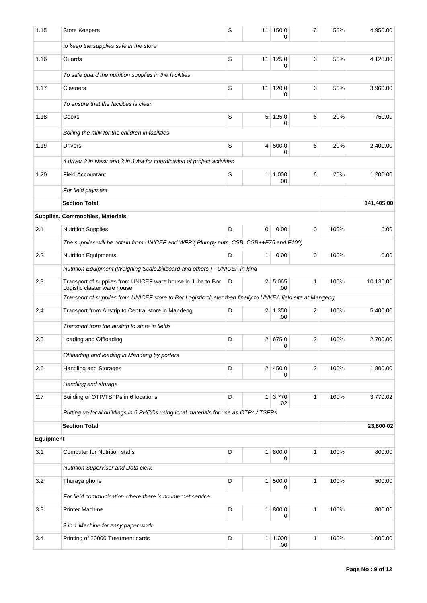| 1.15      | <b>Store Keepers</b>                                                                                        | S | 11 <sup>1</sup> | 150.0<br>0            | 6            | 50%  | 4,950.00   |
|-----------|-------------------------------------------------------------------------------------------------------------|---|-----------------|-----------------------|--------------|------|------------|
|           | to keep the supplies safe in the store                                                                      |   |                 |                       |              |      |            |
| 1.16      | Guards                                                                                                      | S | 11              | 125.0<br>0            | 6            | 50%  | 4,125.00   |
|           | To safe guard the nutrition supplies in the facilities                                                      |   |                 |                       |              |      |            |
| 1.17      | Cleaners                                                                                                    | S | 11              | 120.0<br>0            | 6            | 50%  | 3,960.00   |
|           | To ensure that the facilities is clean                                                                      |   |                 |                       |              |      |            |
| 1.18      | Cooks                                                                                                       | S | 5               | 125.0<br>0            | 6            | 20%  | 750.00     |
|           | Boiling the milk for the children in facilities                                                             |   |                 |                       |              |      |            |
| 1.19      | <b>Drivers</b>                                                                                              | S | $\overline{4}$  | 500.0<br>0            | 6            | 20%  | 2,400.00   |
|           | 4 driver 2 in Nasir and 2 in Juba for coordination of project activities                                    |   |                 |                       |              |      |            |
| 1.20      | <b>Field Accountant</b>                                                                                     | S | 1 <sup>1</sup>  | 1,000<br>.00          | 6            | 20%  | 1,200.00   |
|           | For field payment                                                                                           |   |                 |                       |              |      |            |
|           | <b>Section Total</b>                                                                                        |   |                 |                       |              |      | 141,405.00 |
|           | Supplies, Commodities, Materials                                                                            |   |                 |                       |              |      |            |
| 2.1       | <b>Nutrition Supplies</b>                                                                                   | D | 0               | 0.00                  | 0            | 100% | 0.00       |
|           | The supplies will be obtain from UNICEF and WFP (Plumpy nuts, CSB, CSB++F75 and F100)                       |   |                 |                       |              |      |            |
| $2.2\,$   | <b>Nutrition Equipments</b>                                                                                 | D | 1               | 0.00                  | 0            | 100% | 0.00       |
|           | Nutrition Equipment (Weighing Scale, billboard and others) - UNICEF in-kind                                 |   |                 |                       |              |      |            |
| 2.3       | Transport of supplies from UNICEF ware house in Juba to Bor<br>Logistic claster ware house                  | D |                 | 2 5,065<br>.00        | 1            | 100% | 10,130.00  |
|           | Transport of supplies from UNICEF store to Bor Logistic cluster then finally to UNKEA field site at Mangeng |   |                 |                       |              |      |            |
| 2.4       | Transport from Airstrip to Central store in Mandeng                                                         | D |                 | $2 \mid 1,350$<br>.00 | 2            | 100% | 5,400.00   |
|           | Transport from the airstrip to store in fields                                                              |   |                 |                       |              |      |            |
| 2.5       | Loading and Offloading                                                                                      | D |                 | 2   675.0<br>0        | 2            | 100% | 2,700.00   |
|           | Offloading and loading in Mandeng by porters                                                                |   |                 |                       |              |      |            |
| 2.6       | Handling and Storages                                                                                       | D | 2               | 450.0<br>0            | 2            | 100% | 1,800.00   |
|           | Handling and storage                                                                                        |   |                 |                       |              |      |            |
| 2.7       | Building of OTP/TSFPs in 6 locations                                                                        | D | 1 <sup>1</sup>  | 3,770<br>.02          | 1            | 100% | 3,770.02   |
|           | Putting up local buildings in 6 PHCCs using local materials for use as OTPs / TSFPs                         |   |                 |                       |              |      |            |
|           | <b>Section Total</b>                                                                                        |   |                 |                       | 23,800.02    |      |            |
| Equipment |                                                                                                             |   |                 |                       |              |      |            |
| 3.1       | <b>Computer for Nutrition staffs</b>                                                                        | D | 1               | 800.0<br>0            | $\mathbf{1}$ | 100% | 800.00     |
|           | Nutrition Supervisor and Data clerk                                                                         |   |                 |                       |              |      |            |
| 3.2       | Thuraya phone                                                                                               | D | 1 <sup>1</sup>  | 500.0<br>0            | 1            | 100% | 500.00     |
|           | For field communication where there is no internet service                                                  |   |                 |                       |              |      |            |
| 3.3       | <b>Printer Machine</b>                                                                                      | D | 1 <sup>1</sup>  | 800.0<br>0            | $\mathbf{1}$ | 100% | 800.00     |
|           | 3 in 1 Machine for easy paper work                                                                          |   |                 |                       |              |      |            |
| 3.4       | Printing of 20000 Treatment cards                                                                           | D | 1 <sup>1</sup>  | 1,000<br>.00          | $\mathbf{1}$ | 100% | 1,000.00   |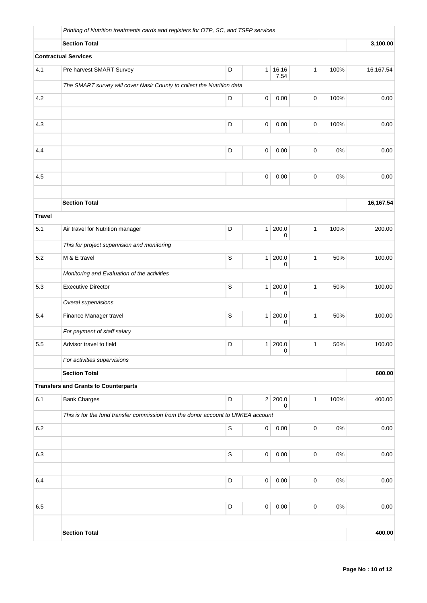|               | Printing of Nutrition treatments cards and registers for OTP, SC, and TSFP services |             |   |                      |              |       |           |
|---------------|-------------------------------------------------------------------------------------|-------------|---|----------------------|--------------|-------|-----------|
|               | <b>Section Total</b>                                                                |             |   | 3,100.00             |              |       |           |
|               | <b>Contractual Services</b>                                                         |             |   |                      |              |       |           |
| 4.1           | Pre harvest SMART Survey                                                            | D           |   | 1   16, 16<br>7.54   | $\mathbf{1}$ | 100%  | 16,167.54 |
|               | The SMART survey will cover Nasir County to collect the Nutrition data              |             |   |                      |              |       |           |
| 4.2           |                                                                                     | D           | 0 | 0.00                 | 0            | 100%  | 0.00      |
|               |                                                                                     |             |   |                      |              |       |           |
| 4.3           |                                                                                     | D           | 0 | 0.00                 | 0            | 100%  | 0.00      |
|               |                                                                                     | D           |   |                      |              |       |           |
| 4.4           |                                                                                     |             | 0 | 0.00                 | 0            | $0\%$ | 0.00      |
| 4.5           |                                                                                     |             | 0 | 0.00                 | 0            | $0\%$ | 0.00      |
|               |                                                                                     |             |   |                      |              |       |           |
|               | <b>Section Total</b>                                                                |             |   |                      |              |       | 16,167.54 |
| <b>Travel</b> |                                                                                     |             |   |                      |              |       |           |
| 5.1           | Air travel for Nutrition manager                                                    | D           | 1 | 200.0<br>0           | $\mathbf{1}$ | 100%  | 200.00    |
|               | This for project supervision and monitoring                                         |             |   |                      |              |       |           |
| 5.2           | M & E travel                                                                        | $\mathsf S$ | 1 | 200.0<br>0           | $\mathbf{1}$ | 50%   | 100.00    |
|               | Monitoring and Evaluation of the activities                                         |             |   |                      |              |       |           |
| 5.3           | <b>Executive Director</b>                                                           | $\mathsf S$ | 1 | 200.0<br>0           | $\mathbf{1}$ | 50%   | 100.00    |
|               | Overal supervisions                                                                 |             |   |                      |              |       |           |
| 5.4           | Finance Manager travel                                                              | $\mathsf S$ | 1 | 200.0<br>0           | $\mathbf{1}$ | 50%   | 100.00    |
|               | For payment of staff salary                                                         |             |   |                      |              |       |           |
| 5.5           | Advisor travel to field                                                             | D           |   | 1 200.0<br>$\pmb{0}$ | $\mathbf{1}$ | 50%   | 100.00    |
|               | For activities supervisions                                                         |             |   |                      |              |       |           |
|               | <b>Section Total</b>                                                                |             |   |                      |              |       | 600.00    |
|               | <b>Transfers and Grants to Counterparts</b>                                         |             |   |                      |              |       |           |
| 6.1           | <b>Bank Charges</b>                                                                 | D           |   | 2 200.0<br>0         | $\mathbf{1}$ | 100%  | 400.00    |
|               | This is for the fund transfer commission from the donor account to UNKEA account    |             |   |                      |              |       |           |
| 6.2           |                                                                                     | $\mathsf S$ | 0 | 0.00                 | 0            | 0%    | 0.00      |
|               |                                                                                     |             |   |                      |              |       |           |
| 6.3           |                                                                                     | $\mathsf S$ | 0 | 0.00                 | 0            | $0\%$ | 0.00      |
|               |                                                                                     | D           |   |                      |              | $0\%$ |           |
| 6.4           |                                                                                     |             | 0 | 0.00                 | 0            |       | 0.00      |
| 6.5           |                                                                                     | D           | 0 | 0.00                 | 0            | $0\%$ | 0.00      |
|               |                                                                                     |             |   |                      |              |       |           |
|               | <b>Section Total</b>                                                                |             |   |                      |              |       | 400.00    |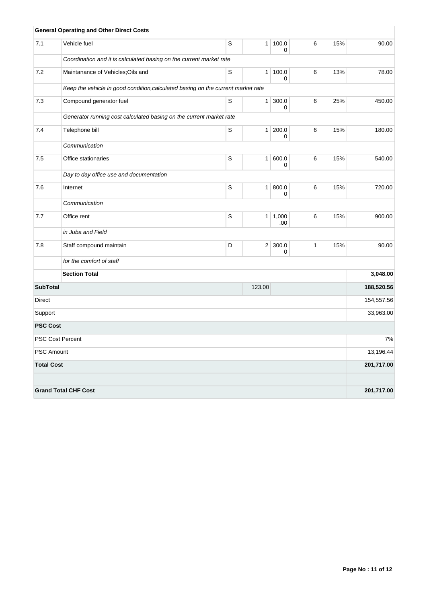|                   | <b>General Operating and Other Direct Costs</b>                                  |             |                |                   |              |     |            |  |  |  |
|-------------------|----------------------------------------------------------------------------------|-------------|----------------|-------------------|--------------|-----|------------|--|--|--|
| 7.1               | Vehicle fuel                                                                     | S           | 1              | 100.0<br>0        | 6            | 15% | 90.00      |  |  |  |
|                   | Coordination and it is calculated basing on the current market rate              |             |                |                   |              |     |            |  |  |  |
| 7.2               | Maintanance of Vehicles; Oils and                                                | S           | 1 <sup>1</sup> | 100.0<br>$\Omega$ | 6            | 13% | 78.00      |  |  |  |
|                   | Keep the vehicle in good condition, calculated basing on the current market rate |             |                |                   |              |     |            |  |  |  |
| 7.3               | Compound generator fuel                                                          | $\mathsf S$ | 1              | 300.0<br>0        | 6            | 25% | 450.00     |  |  |  |
|                   | Generator running cost calculated basing on the current market rate              |             |                |                   |              |     |            |  |  |  |
| 7.4               | Telephone bill                                                                   | S           | 1 <sup>1</sup> | 200.0<br>$\Omega$ | 6            | 15% | 180.00     |  |  |  |
|                   | Communication                                                                    |             |                |                   |              |     |            |  |  |  |
| 7.5               | Office stationaries                                                              | $\mathsf S$ | 1 <sup>1</sup> | 600.0<br>0        | 6            | 15% | 540.00     |  |  |  |
|                   | Day to day office use and documentation                                          |             |                |                   |              |     |            |  |  |  |
| 7.6               | Internet                                                                         | $\mathsf S$ | 1 <sup>1</sup> | 800.0<br>0        | 6            | 15% | 720.00     |  |  |  |
|                   | Communication                                                                    |             |                |                   |              |     |            |  |  |  |
| 7.7               | Office rent                                                                      | S           |                | 1   1,000<br>.00  | 6            | 15% | 900.00     |  |  |  |
|                   | in Juba and Field                                                                |             |                |                   |              |     |            |  |  |  |
| 7.8               | Staff compound maintain                                                          | D           |                | 2 300.0<br>0      | $\mathbf{1}$ | 15% | 90.00      |  |  |  |
|                   | for the comfort of staff                                                         |             |                |                   |              |     |            |  |  |  |
|                   | <b>Section Total</b>                                                             |             |                |                   |              |     | 3,048.00   |  |  |  |
| <b>SubTotal</b>   |                                                                                  |             | 123.00         |                   |              |     | 188,520.56 |  |  |  |
| Direct            |                                                                                  | 154,557.56  |                |                   |              |     |            |  |  |  |
| Support           |                                                                                  | 33,963.00   |                |                   |              |     |            |  |  |  |
| <b>PSC Cost</b>   |                                                                                  |             |                |                   |              |     |            |  |  |  |
|                   | <b>PSC Cost Percent</b>                                                          |             |                |                   |              |     | 7%         |  |  |  |
| <b>PSC Amount</b> |                                                                                  |             |                |                   |              |     | 13,196.44  |  |  |  |
| <b>Total Cost</b> |                                                                                  |             |                |                   |              |     | 201,717.00 |  |  |  |
|                   |                                                                                  |             |                |                   |              |     |            |  |  |  |
|                   | <b>Grand Total CHF Cost</b>                                                      |             |                |                   |              |     | 201,717.00 |  |  |  |